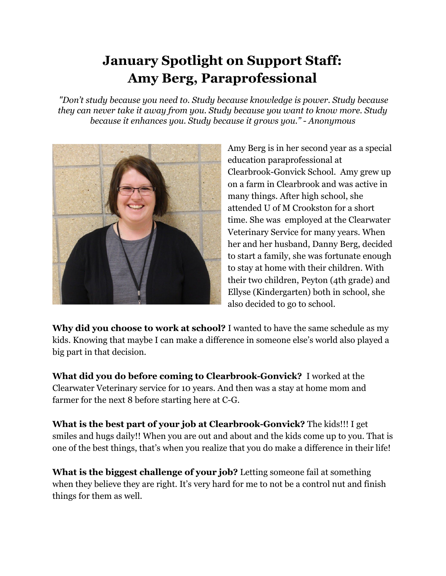## **January Spotlight on Support Staff: Amy Berg, Paraprofessional**

 *"Don't study because you need to. Study because knowledge is power. Study because they can never take it away from you. Study because you want to know more. Study because it enhances you. Study because it grows you." - Anonymous*



Amy Berg is in her second year as a special education paraprofessional at Clearbrook-Gonvick School. Amy grew up on a farm in Clearbrook and was active in many things. After high school, she attended U of M Crookston for a short time. She was employed at the Clearwater Veterinary Service for many years. When her and her husband, Danny Berg, decided to start a family, she was fortunate enough to stay at home with their children. With their two children, Peyton (4th grade) and Ellyse (Kindergarten) both in school, she also decided to go to school.

**Why did you choose to work at school?** I wanted to have the same schedule as my kids. Knowing that maybe I can make a difference in someone else's world also played a big part in that decision.

**What did you do before coming to Clearbrook-Gonvick?** I worked at the Clearwater Veterinary service for 10 years. And then was a stay at home mom and farmer for the next 8 before starting here at C-G.

**What is the best part of your job at Clearbrook-Gonvick?** The kids!!! I get smiles and hugs daily!! When you are out and about and the kids come up to you. That is one of the best things, that's when you realize that you do make a difference in their life!

**What is the biggest challenge of your job?** Letting someone fail at something when they believe they are right. It's very hard for me to not be a control nut and finish things for them as well.